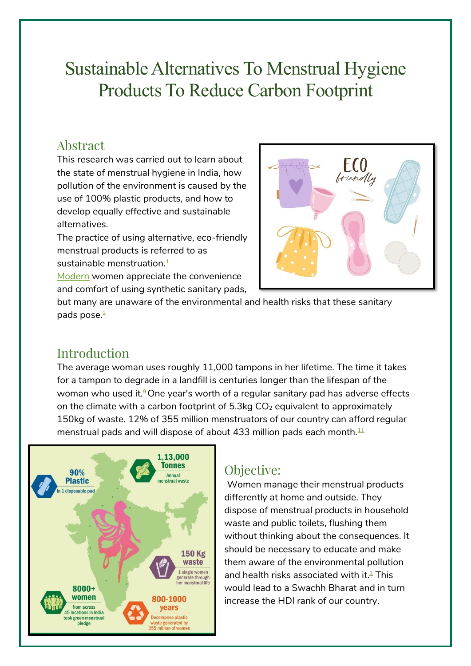# Sustainable Alternatives To Menstrual Hygiene Products To Reduce Carbon Footprint

### Abstract

This research was carried out to learn about the state of menstrual hygiene in India, how pollution of the environment is caused by the use of 100% plastic products, and how to develop equally effective and sustainable alternatives.

The practice of using alternative, eco-friendly menstrual products is referred to as sustainable menstruation[.](#page-4-0) $\frac{1}{2}$ 

[Modern](https://www.heydaycare.com/sanitary-pads-top-3-reasons-why-synthetic-sanitary-napkins-are-dangerous/) women appreciate the convenience and comfort of using synthetic sanitary pads,



but many are unaware of the environmental and health risks that these sanitary pads pose[.](https://www.youthkiawaaz.com/2020/12/carbon-footprint-of-sanitary-pads/) 2

# Introduction

The average woman uses roughly 11,000 tampons in her lifetime. The time it takes for a tampon to degrade in a landfill is centuries longer than the lifespan of the woman who used it[.](#page-4-1)<sup>9</sup>One year's worth of a regular sanitary pad has adverse effects on the climate with a carbon footprint of  $5.3kg CO<sub>2</sub>$  equivalent to approximately 150kg of waste. 12% of 355 million menstruators of our country can afford regular menstrual pads and will dispose of about 433 million pads each month. $11$ 



### Objective:

Women manage their menstrual products differently at home and outside. They dispose of menstrual products in household waste and public toilets, flushing them without thinking about the consequences. It should be necessary to educate and make them aware of the environmental pollution and health risks associated with it. [3](#page-4-3) This would lead to a Swachh Bharat and in turn increase the HDI rank of our country.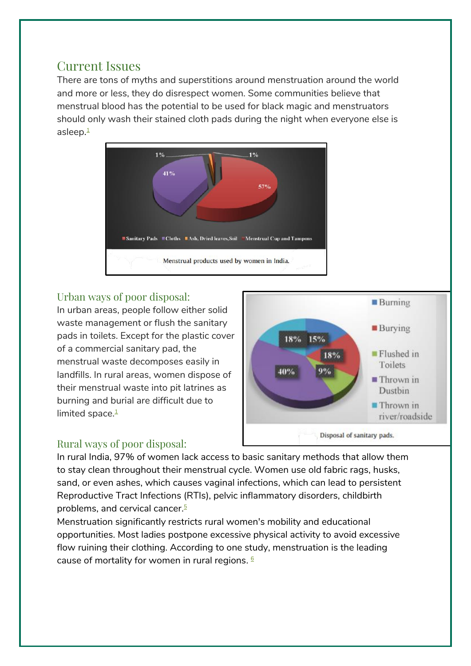### Current Issues

There are tons of myths and superstitions around menstruation around the world and more or less, they do disrespect women. Some communities believe that menstrual blood has the potential to be used for black magic and menstruators should only wash their stained cloth pads during the night when everyone else is asleep.<del>[1](#page-4-0)</del>



### Urban ways of poor disposal:

In urban areas, people follow either solid waste management or flush the sanitary pads in toilets. Except for the plastic cover of a commercial sanitary pad, the menstrual waste decomposes easily in landfills. In rural areas, women dispose of their menstrual waste into pit latrines as burning and burial are difficult due to limited space. [1](#page-4-0)



#### Rural ways of poor disposal:

In rural India, 97% of women lack access to basic sanitary methods that allow them to stay clean throughout their menstrual cycle. Women use old fabric rags, husks, sand, or even ashes, which causes vaginal infections, which can lead to persistent Reproductive Tract Infections (RTIs), pelvic inflammatory disorders, childbirth problems, and cervical cancer. [5](#page-4-4)

Menstruation significantly restricts rural women's mobility and educational opportunities. Most ladies postpone excessive physical activity to avoid excessive flow ruining their clothing. According to one study, menstruation is the leading cause of mortality for women in rural regions. [6](#page-4-5)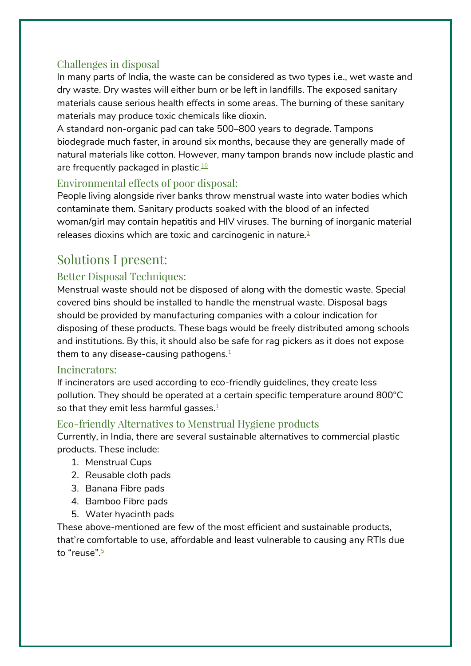### Challenges in disposal

In many parts of India, the waste can be considered as two types i.e., wet waste and dry waste. Dry wastes will either burn or be left in landfills. The exposed sanitary materials cause serious health effects in some areas. The burning of these sanitary materials may produce toxic chemicals like dioxin.

A standard non-organic pad can take 500–800 years to degrade. Tampons biodegrade much faster, in around six months, because they are generally made of natural materials like cotton. However, many tampon brands now include plastic and are frequently packaged in plastic.<del>[10](#page-4-6)</del>

### Environmental effects of poor disposal:

People living alongside river banks throw menstrual waste into water bodies which contaminate them. Sanitary products soaked with the blood of an infected woman/girl may contain hepatitis and HIV viruses. The burning of inorganic material releases dioxins which are toxic and carcinogenic in nature[.](#page-4-0) $1$ 

# Solutions I present:

### Better Disposal Techniques:

Menstrual waste should not be disposed of along with the domestic waste. Special covered bins should be installed to handle the menstrual waste. Disposal bags should be provided by manufacturing companies with a colour indication for disposing of these products. These bags would be freely distributed among schools and institutions. By this, it should also be safe for rag pickers as it does not expose them to any disease-causing pathogens. $1$ 

#### Incinerators:

If incinerators are used according to eco-friendly guidelines, they create less pollution. They should be operated at a certain specific temperature around 800°C so that they emit less harmful gasses[.](#page-4-0) 1

#### Eco-friendly Alternatives to Menstrual Hygiene products

Currently, in India, there are several sustainable alternatives to commercial plastic products. These include:

- 1. Menstrual Cups
- 2. Reusable cloth pads
- 3. Banana Fibre pads
- 4. Bamboo Fibre pads
- 5. Water hyacinth pads

These above-mentioned are few of the most efficient and sustainable products, that're comfortable to use, affordable and least vulnerable to causing any RTIs due to "reuse"[.](#page-4-4)<sup>5</sup>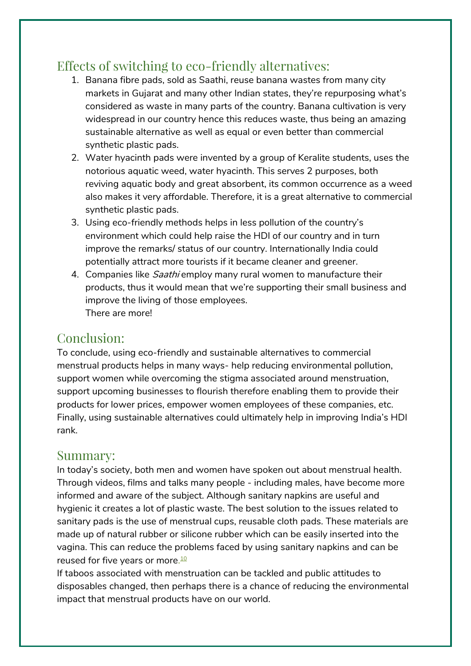## Effects of switching to eco-friendly alternatives:

- 1. Banana fibre pads, sold as Saathi, reuse banana wastes from many city markets in Gujarat and many other Indian states, they're repurposing what's considered as waste in many parts of the country. Banana cultivation is very widespread in our country hence this reduces waste, thus being an amazing sustainable alternative as well as equal or even better than commercial synthetic plastic pads.
- 2. Water hyacinth pads were invented by a group of Keralite students, uses the notorious aquatic weed, water hyacinth. This serves 2 purposes, both reviving aquatic body and great absorbent, its common occurrence as a weed also makes it very affordable. Therefore, it is a great alternative to commercial synthetic plastic pads.
- 3. Using eco-friendly methods helps in less pollution of the country's environment which could help raise the HDI of our country and in turn improve the remarks/ status of our country. Internationally India could potentially attract more tourists if it became cleaner and greener.
- 4. Companies like *Saathi* employ many rural women to manufacture their products, thus it would mean that we're supporting their small business and improve the living of those employees. There are more!

### Conclusion:

To conclude, using eco-friendly and sustainable alternatives to commercial menstrual products helps in many ways- help reducing environmental pollution, support women while overcoming the stigma associated around menstruation, support upcoming businesses to flourish therefore enabling them to provide their products for lower prices, empower women employees of these companies, etc. Finally, using sustainable alternatives could ultimately help in improving India's HDI rank.

### Summary:

In today's society, both men and women have spoken out about menstrual health. Through videos, films and talks many people - including males, have become more informed and aware of the subject. Although sanitary napkins are useful and hygienic it creates a lot of plastic waste. The best solution to the issues related to sanitary pads is the use of menstrual cups, reusable cloth pads. These materials are made up of natural rubber or silicone rubber which can be easily inserted into the vagina. This can reduce the problems faced by using sanitary napkins and can be reused for five years or more. [10](#page-4-6)

If taboos associated with menstruation can be tackled and public attitudes to disposables changed, then perhaps there is a chance of reducing the environmental impact that menstrual products have on our world.